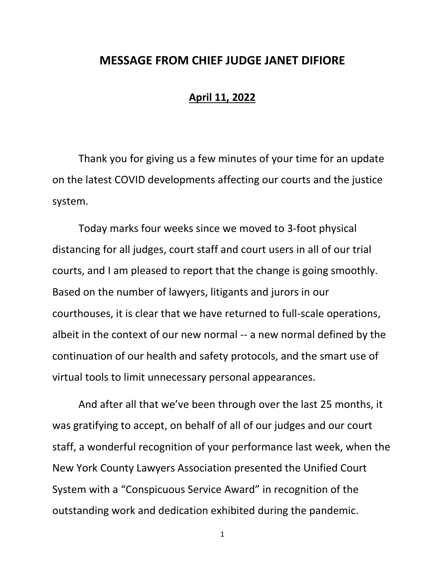## **MESSAGE FROM CHIEF JUDGE JANET DIFIORE**

## **April 11, 2022**

Thank you for giving us a few minutes of your time for an update on the latest COVID developments affecting our courts and the justice system.

Today marks four weeks since we moved to 3-foot physical distancing for all judges, court staff and court users in all of our trial courts, and I am pleased to report that the change is going smoothly. Based on the number of lawyers, litigants and jurors in our courthouses, it is clear that we have returned to full-scale operations, albeit in the context of our new normal -- a new normal defined by the continuation of our health and safety protocols, and the smart use of virtual tools to limit unnecessary personal appearances.

And after all that we've been through over the last 25 months, it was gratifying to accept, on behalf of all of our judges and our court staff, a wonderful recognition of your performance last week, when the New York County Lawyers Association presented the Unified Court System with a "Conspicuous Service Award" in recognition of the outstanding work and dedication exhibited during the pandemic.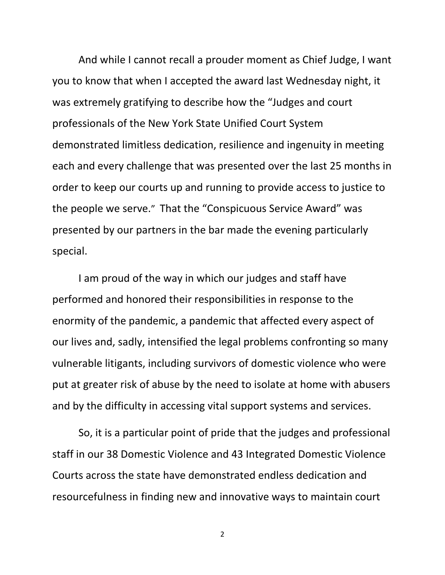And while I cannot recall a prouder moment as Chief Judge, I want you to know that when I accepted the award last Wednesday night, it was extremely gratifying to describe how the "Judges and court professionals of the New York State Unified Court System demonstrated limitless dedication, resilience and ingenuity in meeting each and every challenge that was presented over the last 25 months in order to keep our courts up and running to provide access to justice to the people we serve." That the "Conspicuous Service Award" was presented by our partners in the bar made the evening particularly special.

I am proud of the way in which our judges and staff have performed and honored their responsibilities in response to the enormity of the pandemic, a pandemic that affected every aspect of our lives and, sadly, intensified the legal problems confronting so many vulnerable litigants, including survivors of domestic violence who were put at greater risk of abuse by the need to isolate at home with abusers and by the difficulty in accessing vital support systems and services.

So, it is a particular point of pride that the judges and professional staff in our 38 Domestic Violence and 43 Integrated Domestic Violence Courts across the state have demonstrated endless dedication and resourcefulness in finding new and innovative ways to maintain court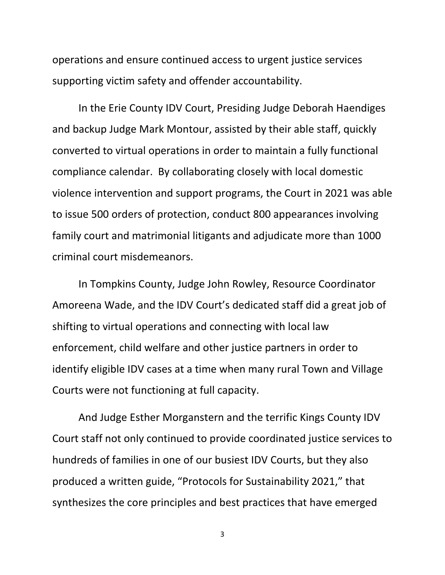operations and ensure continued access to urgent justice services supporting victim safety and offender accountability.

In the Erie County IDV Court, Presiding Judge Deborah Haendiges and backup Judge Mark Montour, assisted by their able staff, quickly converted to virtual operations in order to maintain a fully functional compliance calendar. By collaborating closely with local domestic violence intervention and support programs, the Court in 2021 was able to issue 500 orders of protection, conduct 800 appearances involving family court and matrimonial litigants and adjudicate more than 1000 criminal court misdemeanors.

In Tompkins County, Judge John Rowley, Resource Coordinator Amoreena Wade, and the IDV Court's dedicated staff did a great job of shifting to virtual operations and connecting with local law enforcement, child welfare and other justice partners in order to identify eligible IDV cases at a time when many rural Town and Village Courts were not functioning at full capacity.

And Judge Esther Morganstern and the terrific Kings County IDV Court staff not only continued to provide coordinated justice services to hundreds of families in one of our busiest IDV Courts, but they also produced a written guide, "Protocols for Sustainability 2021," that synthesizes the core principles and best practices that have emerged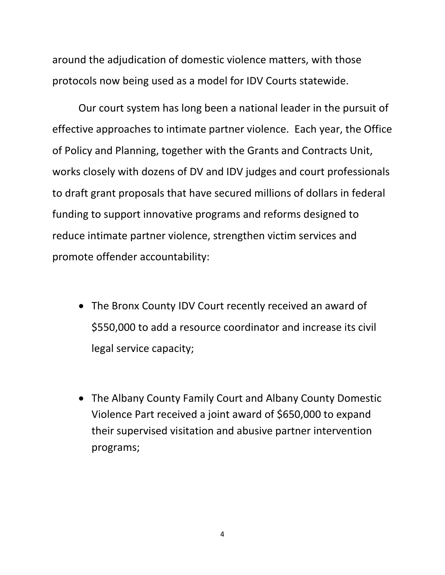around the adjudication of domestic violence matters, with those protocols now being used as a model for IDV Courts statewide.

Our court system has long been a national leader in the pursuit of effective approaches to intimate partner violence. Each year, the Office of Policy and Planning, together with the Grants and Contracts Unit, works closely with dozens of DV and IDV judges and court professionals to draft grant proposals that have secured millions of dollars in federal funding to support innovative programs and reforms designed to reduce intimate partner violence, strengthen victim services and promote offender accountability:

- The Bronx County IDV Court recently received an award of \$550,000 to add a resource coordinator and increase its civil legal service capacity;
- The Albany County Family Court and Albany County Domestic Violence Part received a joint award of \$650,000 to expand their supervised visitation and abusive partner intervention programs;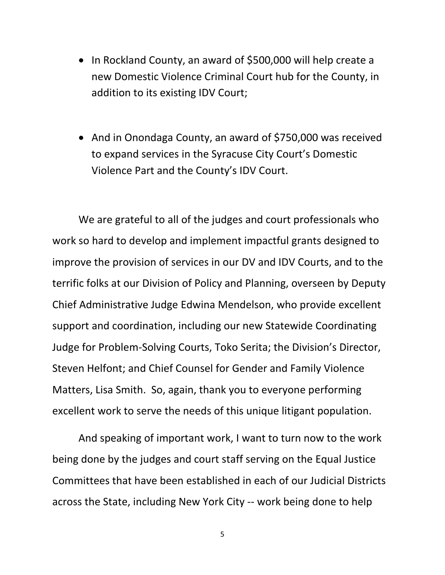- In Rockland County, an award of \$500,000 will help create a new Domestic Violence Criminal Court hub for the County, in addition to its existing IDV Court;
- And in Onondaga County, an award of \$750,000 was received to expand services in the Syracuse City Court's Domestic Violence Part and the County's IDV Court.

We are grateful to all of the judges and court professionals who work so hard to develop and implement impactful grants designed to improve the provision of services in our DV and IDV Courts, and to the terrific folks at our Division of Policy and Planning, overseen by Deputy Chief Administrative Judge Edwina Mendelson, who provide excellent support and coordination, including our new Statewide Coordinating Judge for Problem-Solving Courts, Toko Serita; the Division's Director, Steven Helfont; and Chief Counsel for Gender and Family Violence Matters, Lisa Smith. So, again, thank you to everyone performing excellent work to serve the needs of this unique litigant population.

And speaking of important work, I want to turn now to the work being done by the judges and court staff serving on the Equal Justice Committees that have been established in each of our Judicial Districts across the State, including New York City -- work being done to help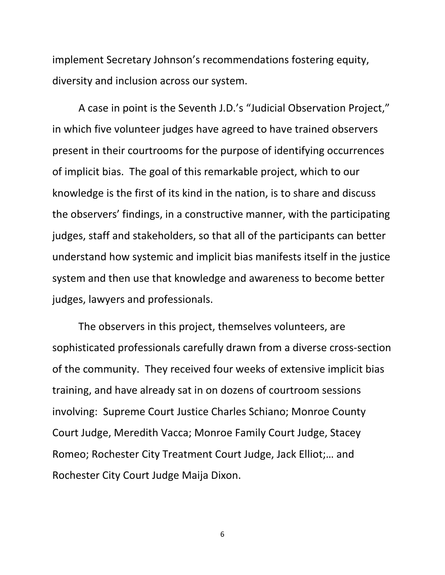implement Secretary Johnson's recommendations fostering equity, diversity and inclusion across our system.

A case in point is the Seventh J.D.'s "Judicial Observation Project," in which five volunteer judges have agreed to have trained observers present in their courtrooms for the purpose of identifying occurrences of implicit bias. The goal of this remarkable project, which to our knowledge is the first of its kind in the nation, is to share and discuss the observers' findings, in a constructive manner, with the participating judges, staff and stakeholders, so that all of the participants can better understand how systemic and implicit bias manifests itself in the justice system and then use that knowledge and awareness to become better judges, lawyers and professionals.

The observers in this project, themselves volunteers, are sophisticated professionals carefully drawn from a diverse cross-section of the community. They received four weeks of extensive implicit bias training, and have already sat in on dozens of courtroom sessions involving: Supreme Court Justice Charles Schiano; Monroe County Court Judge, Meredith Vacca; Monroe Family Court Judge, Stacey Romeo; Rochester City Treatment Court Judge, Jack Elliot;… and Rochester City Court Judge Maija Dixon.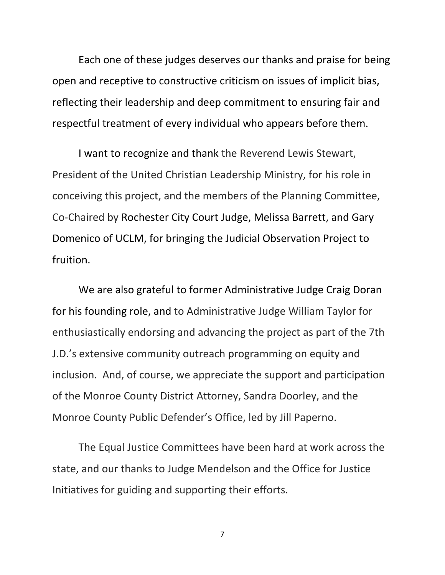Each one of these judges deserves our thanks and praise for being open and receptive to constructive criticism on issues of implicit bias, reflecting their leadership and deep commitment to ensuring fair and respectful treatment of every individual who appears before them.

I want to recognize and thank the Reverend Lewis Stewart, President of the United Christian Leadership Ministry, for his role in conceiving this project, and the members of the Planning Committee, Co-Chaired by Rochester City Court Judge, Melissa Barrett, and Gary Domenico of UCLM, for bringing the Judicial Observation Project to fruition.

We are also grateful to former Administrative Judge Craig Doran for his founding role, and to Administrative Judge William Taylor for enthusiastically endorsing and advancing the project as part of the 7th J.D.'s extensive community outreach programming on equity and inclusion. And, of course, we appreciate the support and participation of the Monroe County District Attorney, Sandra Doorley, and the Monroe County Public Defender's Office, led by Jill Paperno.

The Equal Justice Committees have been hard at work across the state, and our thanks to Judge Mendelson and the Office for Justice Initiatives for guiding and supporting their efforts.